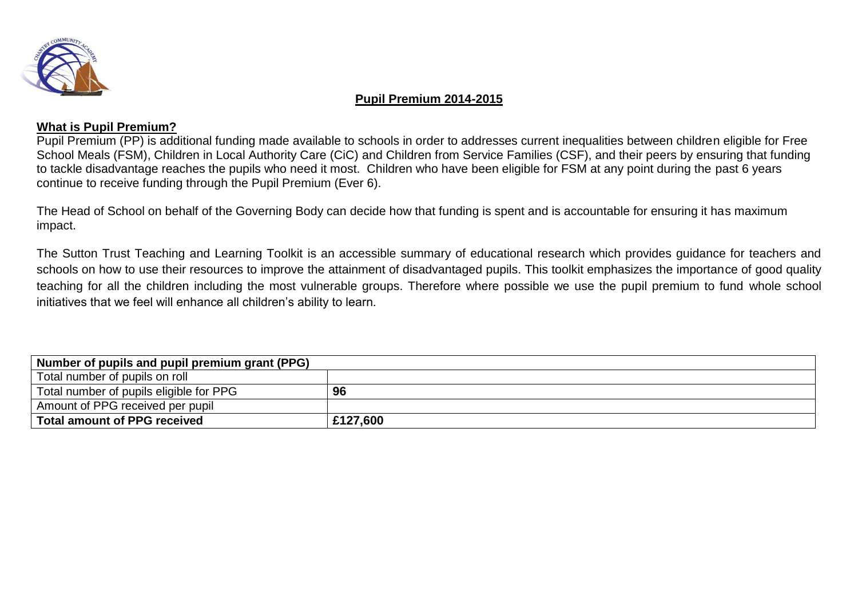

#### **Pupil Premium 2014-2015**

### **What is Pupil Premium?**

Pupil Premium (PP) is additional funding made available to schools in order to addresses current inequalities between children eligible for Free School Meals (FSM), Children in Local Authority Care (CiC) and Children from Service Families (CSF), and their peers by ensuring that funding to tackle disadvantage reaches the pupils who need it most. Children who have been eligible for FSM at any point during the past 6 years continue to receive funding through the Pupil Premium (Ever 6).

The Head of School on behalf of the Governing Body can decide how that funding is spent and is accountable for ensuring it has maximum impact.

The Sutton Trust [Teaching and Learning Toolkit](http://educationendowmentfoundation.org.uk/toolkit/) is an accessible summary of educational research which provides guidance for teachers and schools on how to use their resources to improve the attainment of disadvantaged pupils. This toolkit emphasizes the importance of good quality teaching for all the children including the most vulnerable groups. Therefore where possible we use the pupil premium to fund whole school initiatives that we feel will enhance all children's ability to learn.

| Number of pupils and pupil premium grant (PPG) |          |  |
|------------------------------------------------|----------|--|
| Total number of pupils on roll                 |          |  |
| Total number of pupils eligible for PPG        | 96       |  |
| Amount of PPG received per pupil               |          |  |
| Total amount of PPG received                   | £127,600 |  |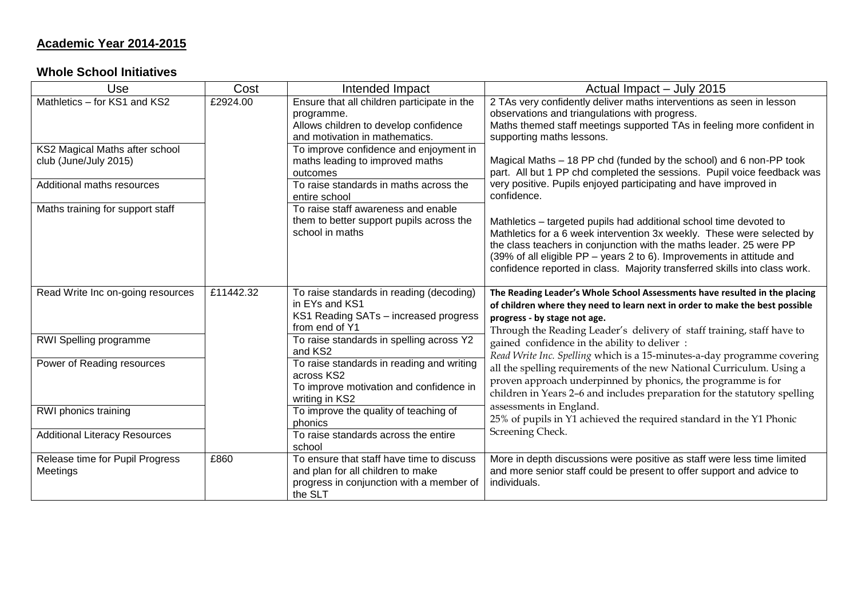# **Academic Year 2014-2015**

### **Whole School Initiatives**

| Use                                                     | Cost      | Intended Impact                                                                                                                       | Actual Impact - July 2015                                                                                                                                                                                                                                                                                                                                                  |
|---------------------------------------------------------|-----------|---------------------------------------------------------------------------------------------------------------------------------------|----------------------------------------------------------------------------------------------------------------------------------------------------------------------------------------------------------------------------------------------------------------------------------------------------------------------------------------------------------------------------|
| Mathletics - for KS1 and KS2                            | £2924.00  | Ensure that all children participate in the<br>programme.<br>Allows children to develop confidence<br>and motivation in mathematics.  | 2 TAs very confidently deliver maths interventions as seen in lesson<br>observations and triangulations with progress.<br>Maths themed staff meetings supported TAs in feeling more confident in<br>supporting maths lessons.                                                                                                                                              |
| KS2 Magical Maths after school<br>club (June/July 2015) |           | To improve confidence and enjoyment in<br>maths leading to improved maths<br>outcomes                                                 | Magical Maths - 18 PP chd (funded by the school) and 6 non-PP took<br>part. All but 1 PP chd completed the sessions. Pupil voice feedback was                                                                                                                                                                                                                              |
| Additional maths resources                              |           | To raise standards in maths across the<br>entire school                                                                               | very positive. Pupils enjoyed participating and have improved in<br>confidence.                                                                                                                                                                                                                                                                                            |
| Maths training for support staff                        |           | To raise staff awareness and enable<br>them to better support pupils across the<br>school in maths                                    | Mathletics - targeted pupils had additional school time devoted to<br>Mathletics for a 6 week intervention 3x weekly. These were selected by<br>the class teachers in conjunction with the maths leader. 25 were PP<br>(39% of all eligible PP - years 2 to 6). Improvements in attitude and<br>confidence reported in class. Majority transferred skills into class work. |
| Read Write Inc on-going resources                       | £11442.32 | To raise standards in reading (decoding)<br>in EYs and KS1<br>KS1 Reading SATs - increased progress<br>from end of Y1                 | The Reading Leader's Whole School Assessments have resulted in the placing<br>of children where they need to learn next in order to make the best possible<br>progress - by stage not age.<br>Through the Reading Leader's delivery of staff training, staff have to                                                                                                       |
| RWI Spelling programme                                  |           | To raise standards in spelling across Y2<br>and KS2                                                                                   | gained confidence in the ability to deliver :<br>Read Write Inc. Spelling which is a 15-minutes-a-day programme covering                                                                                                                                                                                                                                                   |
| Power of Reading resources                              |           | To raise standards in reading and writing<br>across KS2<br>To improve motivation and confidence in<br>writing in KS2                  | all the spelling requirements of the new National Curriculum. Using a<br>proven approach underpinned by phonics, the programme is for<br>children in Years 2-6 and includes preparation for the statutory spelling                                                                                                                                                         |
| RWI phonics training                                    |           | To improve the quality of teaching of<br>phonics                                                                                      | assessments in England.<br>25% of pupils in Y1 achieved the required standard in the Y1 Phonic                                                                                                                                                                                                                                                                             |
| <b>Additional Literacy Resources</b>                    |           | To raise standards across the entire<br>school                                                                                        | Screening Check.                                                                                                                                                                                                                                                                                                                                                           |
| Release time for Pupil Progress<br>Meetings             | £860      | To ensure that staff have time to discuss<br>and plan for all children to make<br>progress in conjunction with a member of<br>the SLT | More in depth discussions were positive as staff were less time limited<br>and more senior staff could be present to offer support and advice to<br>individuals.                                                                                                                                                                                                           |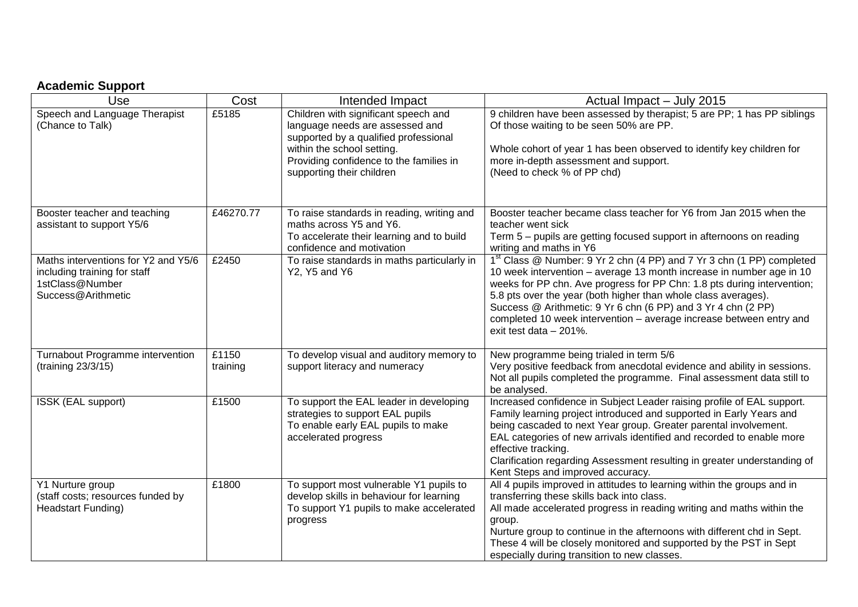## **Academic Support**

| Use                                                                                                          | Cost              | Intended Impact                                                                                                                                                                           | Actual Impact - July 2015                                                                                                                                                                                                                                                                                                                                                                                                                                                   |
|--------------------------------------------------------------------------------------------------------------|-------------------|-------------------------------------------------------------------------------------------------------------------------------------------------------------------------------------------|-----------------------------------------------------------------------------------------------------------------------------------------------------------------------------------------------------------------------------------------------------------------------------------------------------------------------------------------------------------------------------------------------------------------------------------------------------------------------------|
| Speech and Language Therapist<br>(Chance to Talk)                                                            | £5185             | Children with significant speech and<br>language needs are assessed and<br>supported by a qualified professional<br>within the school setting.<br>Providing confidence to the families in | 9 children have been assessed by therapist; 5 are PP; 1 has PP siblings<br>Of those waiting to be seen 50% are PP.<br>Whole cohort of year 1 has been observed to identify key children for<br>more in-depth assessment and support.                                                                                                                                                                                                                                        |
|                                                                                                              |                   | supporting their children                                                                                                                                                                 | (Need to check % of PP chd)                                                                                                                                                                                                                                                                                                                                                                                                                                                 |
| Booster teacher and teaching<br>assistant to support Y5/6                                                    | £46270.77         | To raise standards in reading, writing and<br>maths across Y5 and Y6.<br>To accelerate their learning and to build<br>confidence and motivation                                           | Booster teacher became class teacher for Y6 from Jan 2015 when the<br>teacher went sick<br>Term 5 - pupils are getting focused support in afternoons on reading<br>writing and maths in Y6                                                                                                                                                                                                                                                                                  |
| Maths interventions for Y2 and Y5/6<br>including training for staff<br>1stClass@Number<br>Success@Arithmetic | £2450             | To raise standards in maths particularly in<br>Y2, Y5 and Y6                                                                                                                              | 1 <sup>st</sup> Class @ Number: 9 Yr 2 chn (4 PP) and 7 Yr 3 chn (1 PP) completed<br>10 week intervention - average 13 month increase in number age in 10<br>weeks for PP chn. Ave progress for PP Chn: 1.8 pts during intervention;<br>5.8 pts over the year (both higher than whole class averages).<br>Success @ Arithmetic: 9 Yr 6 chn (6 PP) and 3 Yr 4 chn (2 PP)<br>completed 10 week intervention - average increase between entry and<br>exit test data $-201\%$ . |
| Turnabout Programme intervention<br>(training 23/3/15)                                                       | £1150<br>training | To develop visual and auditory memory to<br>support literacy and numeracy                                                                                                                 | New programme being trialed in term 5/6<br>Very positive feedback from anecdotal evidence and ability in sessions.<br>Not all pupils completed the programme. Final assessment data still to<br>be analysed.                                                                                                                                                                                                                                                                |
| ISSK (EAL support)                                                                                           | £1500             | To support the EAL leader in developing<br>strategies to support EAL pupils<br>To enable early EAL pupils to make<br>accelerated progress                                                 | Increased confidence in Subject Leader raising profile of EAL support.<br>Family learning project introduced and supported in Early Years and<br>being cascaded to next Year group. Greater parental involvement.<br>EAL categories of new arrivals identified and recorded to enable more<br>effective tracking.<br>Clarification regarding Assessment resulting in greater understanding of<br>Kent Steps and improved accuracy.                                          |
| Y1 Nurture group<br>(staff costs; resources funded by<br>Headstart Funding)                                  | £1800             | To support most vulnerable Y1 pupils to<br>develop skills in behaviour for learning<br>To support Y1 pupils to make accelerated<br>progress                                               | All 4 pupils improved in attitudes to learning within the groups and in<br>transferring these skills back into class.<br>All made accelerated progress in reading writing and maths within the<br>group.<br>Nurture group to continue in the afternoons with different chd in Sept.<br>These 4 will be closely monitored and supported by the PST in Sept<br>especially during transition to new classes.                                                                   |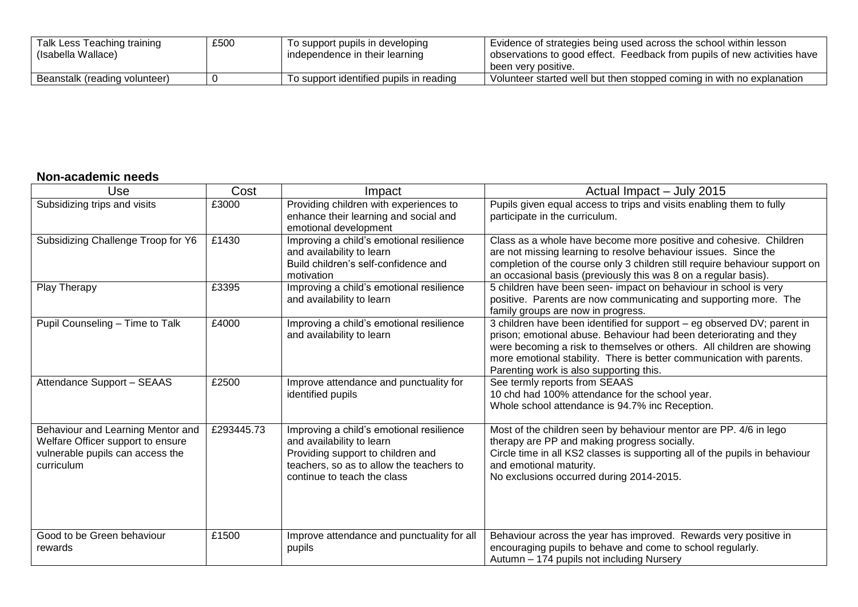| Talk Less Teaching training   | £500 | To support pupils in developing         | <sup>1</sup> Evidence of strategies being used across the school within lesson |
|-------------------------------|------|-----------------------------------------|--------------------------------------------------------------------------------|
| (Isabella Wallace)            |      | independence in their learning          | observations to good effect. Feedback from pupils of new activities have       |
|                               |      |                                         | been very positive.                                                            |
| Beanstalk (reading volunteer) |      | To support identified pupils in reading | Volunteer started well but then stopped coming in with no explanation          |

### **Non-academic needs**

| Use                                                                                                                      | Cost       | Impact                                                                                                                                                                                | Actual Impact - July 2015                                                                                                                                                                                                                                                                                                                   |
|--------------------------------------------------------------------------------------------------------------------------|------------|---------------------------------------------------------------------------------------------------------------------------------------------------------------------------------------|---------------------------------------------------------------------------------------------------------------------------------------------------------------------------------------------------------------------------------------------------------------------------------------------------------------------------------------------|
| Subsidizing trips and visits                                                                                             | £3000      | Providing children with experiences to<br>enhance their learning and social and<br>emotional development                                                                              | Pupils given equal access to trips and visits enabling them to fully<br>participate in the curriculum.                                                                                                                                                                                                                                      |
| Subsidizing Challenge Troop for Y6                                                                                       | £1430      | Improving a child's emotional resilience<br>and availability to learn<br>Build children's self-confidence and<br>motivation                                                           | Class as a whole have become more positive and cohesive. Children<br>are not missing learning to resolve behaviour issues. Since the<br>completion of the course only 3 children still require behaviour support on<br>an occasional basis (previously this was 8 on a regular basis).                                                      |
| Play Therapy                                                                                                             | £3395      | Improving a child's emotional resilience<br>and availability to learn                                                                                                                 | 5 children have been seen- impact on behaviour in school is very<br>positive. Parents are now communicating and supporting more. The<br>family groups are now in progress.                                                                                                                                                                  |
| Pupil Counseling - Time to Talk                                                                                          | £4000      | Improving a child's emotional resilience<br>and availability to learn                                                                                                                 | 3 children have been identified for support - eg observed DV; parent in<br>prison; emotional abuse. Behaviour had been deteriorating and they<br>were becoming a risk to themselves or others. All children are showing<br>more emotional stability. There is better communication with parents.<br>Parenting work is also supporting this. |
| Attendance Support - SEAAS                                                                                               | £2500      | Improve attendance and punctuality for<br>identified pupils                                                                                                                           | See termly reports from SEAAS<br>10 chd had 100% attendance for the school year.<br>Whole school attendance is 94.7% inc Reception.                                                                                                                                                                                                         |
| Behaviour and Learning Mentor and<br>Welfare Officer support to ensure<br>vulnerable pupils can access the<br>curriculum | £293445.73 | Improving a child's emotional resilience<br>and availability to learn<br>Providing support to children and<br>teachers, so as to allow the teachers to<br>continue to teach the class | Most of the children seen by behaviour mentor are PP. 4/6 in lego<br>therapy are PP and making progress socially.<br>Circle time in all KS2 classes is supporting all of the pupils in behaviour<br>and emotional maturity.<br>No exclusions occurred during 2014-2015.                                                                     |
| Good to be Green behaviour<br>rewards                                                                                    | £1500      | Improve attendance and punctuality for all<br>pupils                                                                                                                                  | Behaviour across the year has improved. Rewards very positive in<br>encouraging pupils to behave and come to school regularly.<br>Autumn - 174 pupils not including Nursery                                                                                                                                                                 |